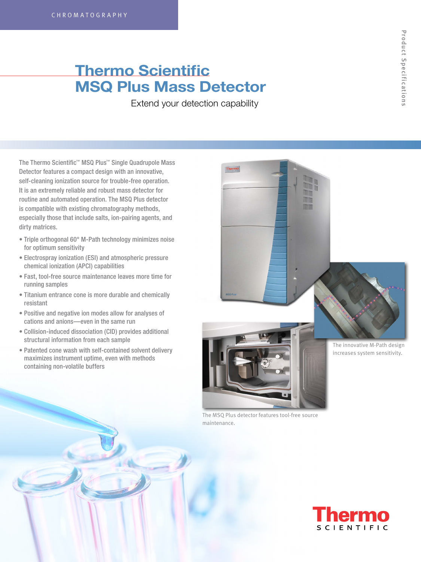# **Thermo Scientific MSQ Plus Mass Detector**

Extend your detection capability

The Thermo Scientific™ MSQ Plus™ Single Quadrupole Mass Detector features a compact design with an innovative, self-cleaning ionization source for trouble-free operation. It is an extremely reliable and robust mass detector for routine and automated operation. The MSQ Plus detector is compatible with existing chromatography methods, especially those that include salts, ion-pairing agents, and dirty matrices.

- Triple orthogonal 60° M-Path technology minimizes noise for optimum sensitivity
- Electrospray ionization (ESI) and atmospheric pressure chemical ionization (APCI) capabilities
- Fast, tool-free source maintenance leaves more time for running samples
- Titanium entrance cone is more durable and chemically resistant
- Positive and negative ion modes allow for analyses of cations and anions—even in the same run
- Collision-induced dissociation (CID) provides additional structural information from each sample
- Patented cone wash with self-contained solvent delivery maximizes instrument uptime, even with methods containing non-volatile buffers



The MSQ Plus detector features tool-free source maintenance.

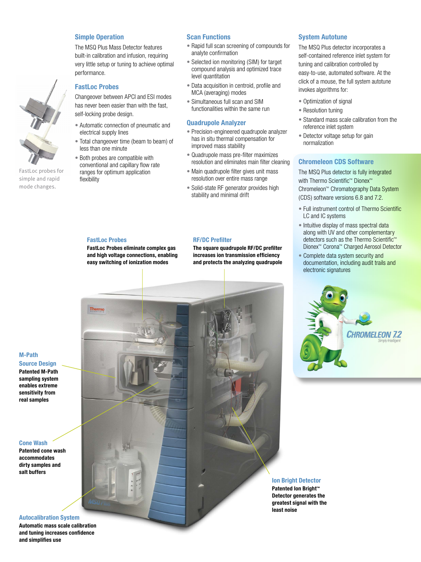# **Simple Operation**

The MSQ Plus Mass Detector features built-in calibration and infusion, requiring very little setup or tuning to achieve optimal performance.

# **FastLoc Probes**

Changeover between APCI and ESI modes has never been easier than with the fast, self-locking probe design.

- Automatic connection of pneumatic and electrical supply lines
- Total changeover time (beam to beam) of less than one minute
- Both probes are compatible with conventional and capillary flow rate ranges for optimum application flexibility

# **Scan Functions**

- Rapid full scan screening of compounds for analyte confirmation
- Selected ion monitoring (SIM) for target compound analysis and optimized trace level quantitation
- Data acquisition in centroid, profile and MCA (averaging) modes
- Simultaneous full scan and SIM functionalities within the same run

### **Quadrupole Analyzer**

- Precision-engineered quadrupole analyzer has in situ thermal compensation for improved mass stability
- Quadrupole mass pre-filter maximizes resolution and eliminates main filter cleaning
- Main quadrupole filter gives unit mass resolution over entire mass range
- Solid-state RF generator provides high stability and minimal drift

#### **FastLoc Probes**

Thermo

**FastLoc Probes eliminate complex gas and high voltage connections, enabling easy switching of ionization modes** 

#### **RF/DC Prefilter**

**The square quadrupole RF/DC prefilter increases ion transmission efficiency and protects the analyzing quadrupole**

#### **System Autotune**

The MSQ Plus detector incorporates a self-contained reference inlet system for tuning and calibration controlled by easy-to-use, automated software. At the click of a mouse, the full system autotune invokes algorithms for:

- Optimization of signal
- Resolution tuning
- Standard mass scale calibration from the reference inlet system
- Detector voltage setup for gain normalization

## **Chromeleon CDS Software**

The MSQ Plus detector is fully integrated with Thermo Scientific™ Dionex™ Chromeleon™ Chromatography Data System (CDS) software versions 6.8 and 7.2.

- Full instrument control of Thermo Scientific LC and IC systems
- Intuitive display of mass spectral data along with UV and other complementary detectors such as the Thermo Scientific™ Dionex™ Corona™ Charged Aerosol Detector
- Complete data system security and documentation, including audit trails and electronic signatures



## **M-Path Source Design Patented M-Path**

FastLoc probes for simple and rapid mode changes.

**sampling system enables extreme sensitivity from real samples** 

#### **Cone Wash**

**Patented cone wash accommodates dirty samples and salt buffers**

#### **Autocalibration System**

**Automatic mass scale calibration and tuning increases confidence and simplifies use**

#### **Ion Bright Detector Patented Ion Bright™**

**Detector generates the greatest signal with the least noise**